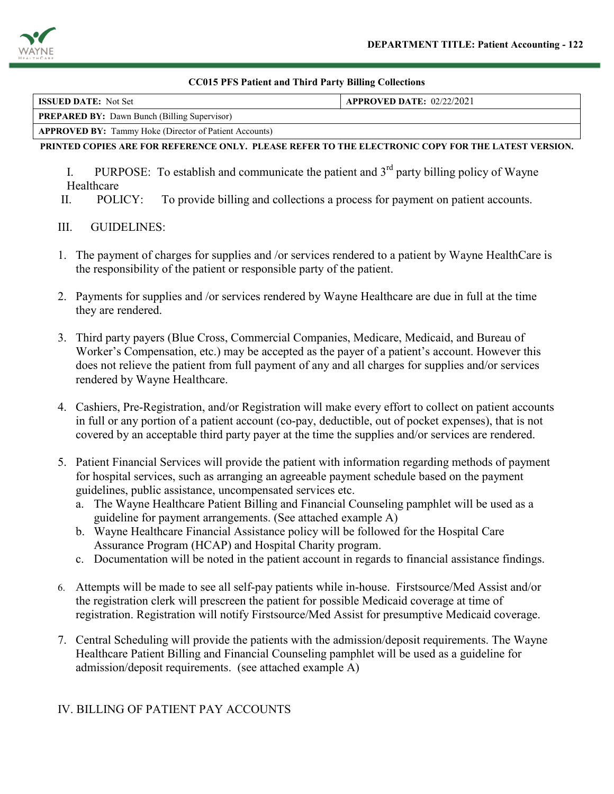

#### **CC015 PFS Patient and Third Party Billing Collections**

| <b>ISSUED DATE:</b> Not Set                                   | <b>APPROVED DATE: 02/22/2021</b> |  |  |  |
|---------------------------------------------------------------|----------------------------------|--|--|--|
| <b>PREPARED BY:</b> Dawn Bunch (Billing Supervisor)           |                                  |  |  |  |
| <b>APPROVED BY:</b> Tammy Hoke (Director of Patient Accounts) |                                  |  |  |  |

#### **PRINTED COPIES ARE FOR REFERENCE ONLY. PLEASE REFER TO THE ELECTRONIC COPY FOR THE LATEST VERSION.**

- I. PURPOSE: To establish and communicate the patient and  $3<sup>rd</sup>$  party billing policy of Wayne Healthcare
- II. POLICY: To provide billing and collections a process for payment on patient accounts.

## III. GUIDELINES:

- 1. The payment of charges for supplies and /or services rendered to a patient by Wayne HealthCare is the responsibility of the patient or responsible party of the patient.
- 2. Payments for supplies and /or services rendered by Wayne Healthcare are due in full at the time they are rendered.
- 3. Third party payers (Blue Cross, Commercial Companies, Medicare, Medicaid, and Bureau of Worker's Compensation, etc.) may be accepted as the payer of a patient's account. However this does not relieve the patient from full payment of any and all charges for supplies and/or services rendered by Wayne Healthcare.
- 4. Cashiers, Pre-Registration, and/or Registration will make every effort to collect on patient accounts in full or any portion of a patient account (co-pay, deductible, out of pocket expenses), that is not covered by an acceptable third party payer at the time the supplies and/or services are rendered.
- 5. Patient Financial Services will provide the patient with information regarding methods of payment for hospital services, such as arranging an agreeable payment schedule based on the payment guidelines, public assistance, uncompensated services etc.
	- a. The Wayne Healthcare Patient Billing and Financial Counseling pamphlet will be used as a guideline for payment arrangements. (See attached example A)
	- b. Wayne Healthcare Financial Assistance policy will be followed for the Hospital Care Assurance Program (HCAP) and Hospital Charity program.
	- c. Documentation will be noted in the patient account in regards to financial assistance findings.
- 6. Attempts will be made to see all self-pay patients while in-house. Firstsource/Med Assist and/or the registration clerk will prescreen the patient for possible Medicaid coverage at time of registration. Registration will notify Firstsource/Med Assist for presumptive Medicaid coverage.
- 7. Central Scheduling will provide the patients with the admission/deposit requirements. The Wayne Healthcare Patient Billing and Financial Counseling pamphlet will be used as a guideline for admission/deposit requirements. (see attached example A)

# IV. BILLING OF PATIENT PAY ACCOUNTS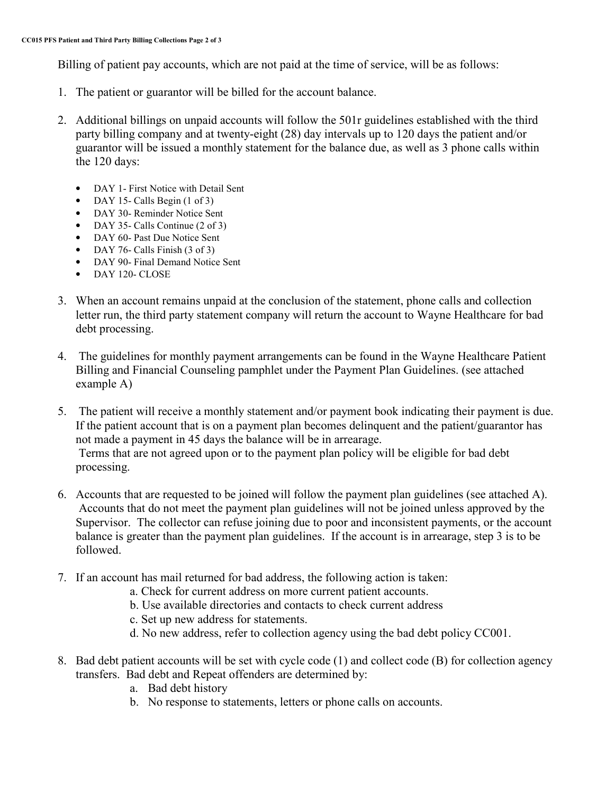Billing of patient pay accounts, which are not paid at the time of service, will be as follows:

- 1. The patient or guarantor will be billed for the account balance.
- 2. Additional billings on unpaid accounts will follow the 501r guidelines established with the third party billing company and at twenty-eight (28) day intervals up to 120 days the patient and/or guarantor will be issued a monthly statement for the balance due, as well as 3 phone calls within the 120 days:
	- DAY 1- First Notice with Detail Sent
	- DAY 15- Calls Begin (1 of 3)
	- DAY 30- Reminder Notice Sent
	- DAY 35- Calls Continue (2 of 3)
	- DAY 60- Past Due Notice Sent
	- DAY 76- Calls Finish (3 of 3)
	- DAY 90- Final Demand Notice Sent
	- DAY 120- CLOSE
- 3. When an account remains unpaid at the conclusion of the statement, phone calls and collection letter run, the third party statement company will return the account to Wayne Healthcare for bad debt processing.
- 4. The guidelines for monthly payment arrangements can be found in the Wayne Healthcare Patient Billing and Financial Counseling pamphlet under the Payment Plan Guidelines. (see attached example A)
- 5. The patient will receive a monthly statement and/or payment book indicating their payment is due. If the patient account that is on a payment plan becomes delinquent and the patient/guarantor has not made a payment in 45 days the balance will be in arrearage. Terms that are not agreed upon or to the payment plan policy will be eligible for bad debt processing.
- 6. Accounts that are requested to be joined will follow the payment plan guidelines (see attached A). Accounts that do not meet the payment plan guidelines will not be joined unless approved by the Supervisor. The collector can refuse joining due to poor and inconsistent payments, or the account balance is greater than the payment plan guidelines. If the account is in arrearage, step 3 is to be followed.
- 7. If an account has mail returned for bad address, the following action is taken:
	- a. Check for current address on more current patient accounts.
	- b. Use available directories and contacts to check current address
	- c. Set up new address for statements.
	- d. No new address, refer to collection agency using the bad debt policy CC001.
- 8. Bad debt patient accounts will be set with cycle code (1) and collect code (B) for collection agency transfers. Bad debt and Repeat offenders are determined by:
	- a. Bad debt history
	- b. No response to statements, letters or phone calls on accounts.